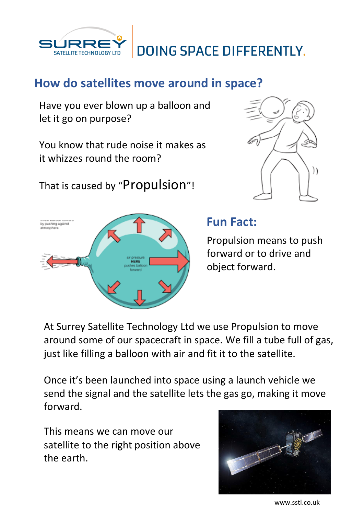



## **How do satellites move around in space?**

Have you ever blown up a balloon and let it go on purpose?

You know that rude noise it makes as it whizzes round the room?

That is caused by "Propulsion"!





## **Fun Fact:**

Propulsion means to push forward or to drive and object forward.

At Surrey Satellite Technology Ltd we use Propulsion to move around some of our spacecraft in space. We fill a tube full of gas, just like filling a balloon with air and fit it to the satellite.

Once it's been launched into space using a launch vehicle we send the signal and the satellite lets the gas go, making it move forward.

This means we can move our satellite to the right position above the earth.



www.sstl.co.uk